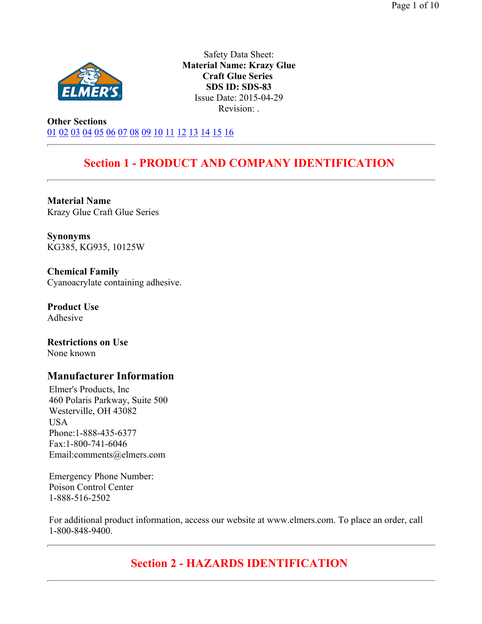

Safety Data Sheet: **Material Name: Krazy Glue Craft Glue Series SDS ID: SDS-83** Issue Date: 2015-04-29 Revision: .

**Other Sections** 01 02 03 04 05 06 07 08 09 10 11 12 13 14 15 16

# **Section 1 - PRODUCT AND COMPANY IDENTIFICATION**

**Material Name**  Krazy Glue Craft Glue Series

**Synonyms**  KG385, KG935, 10125W

**Chemical Family**  Cyanoacrylate containing adhesive.

**Product Use**  Adhesive

**Restrictions on Use**  None known

### **Manufacturer Information**

Elmer's Products, Inc 460 Polaris Parkway, Suite 500 Westerville, OH 43082 USA Phone:1-888-435-6377 Fax:1-800-741-6046 Email:comments@elmers.com

Emergency Phone Number: Poison Control Center 1-888-516-2502

For additional product information, access our website at www.elmers.com. To place an order, call 1-800-848-9400.

# **Section 2 - HAZARDS IDENTIFICATION**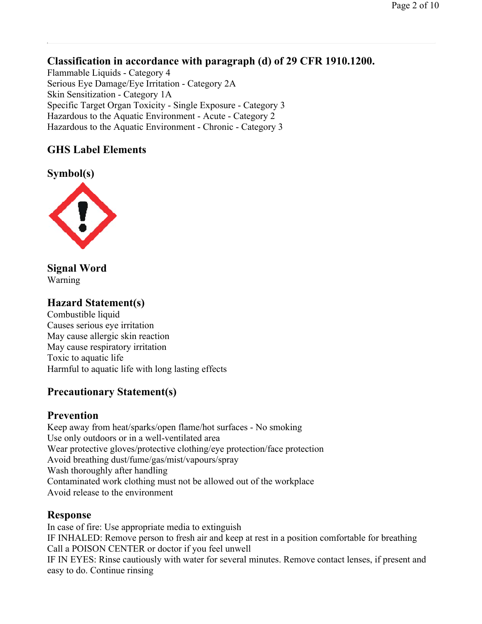### **Classification in accordance with paragraph (d) of 29 CFR 1910.1200.**

Flammable Liquids - Category 4 Serious Eye Damage/Eye Irritation - Category 2A Skin Sensitization - Category 1A Specific Target Organ Toxicity - Single Exposure - Category 3 Hazardous to the Aquatic Environment - Acute - Category 2 Hazardous to the Aquatic Environment - Chronic - Category 3

### **GHS Label Elements**

**Symbol(s)** 



**Signal Word**  Warning

### **Hazard Statement(s)**

Combustible liquid Causes serious eye irritation May cause allergic skin reaction May cause respiratory irritation Toxic to aquatic life Harmful to aquatic life with long lasting effects

### **Precautionary Statement(s)**

### **Prevention**

Keep away from heat/sparks/open flame/hot surfaces - No smoking Use only outdoors or in a well-ventilated area Wear protective gloves/protective clothing/eye protection/face protection Avoid breathing dust/fume/gas/mist/vapours/spray Wash thoroughly after handling Contaminated work clothing must not be allowed out of the workplace Avoid release to the environment

### **Response**

In case of fire: Use appropriate media to extinguish IF INHALED: Remove person to fresh air and keep at rest in a position comfortable for breathing Call a POISON CENTER or doctor if you feel unwell IF IN EYES: Rinse cautiously with water for several minutes. Remove contact lenses, if present and easy to do. Continue rinsing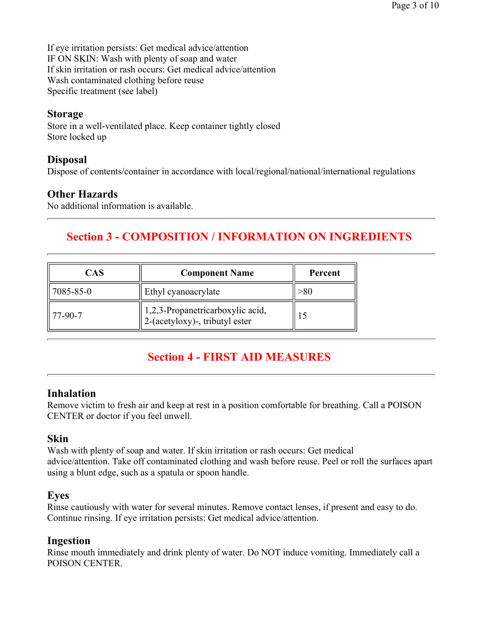If eye irritation persists: Get medical advice/attention IF ON SKIN: Wash with plenty of soap and water If skin irritation or rash occurs: Get medical advice/attention Wash contaminated clothing before reuse Specific treatment (see label)

### **Storage**

Store in a well-ventilated place. Keep container tightly closed Store locked up

### **Disposal**

Dispose of contents/container in accordance with local/regional/national/international regulations

### **Other Hazards**

No additional information is available.

# **Section 3 - COMPOSITION / INFORMATION ON INGREDIENTS**

| CAS                 | <b>Component Name</b>                                              | Percent |  |  |
|---------------------|--------------------------------------------------------------------|---------|--|--|
| 7085-85-0           | Ethyl cyanoacrylate                                                |         |  |  |
| $\parallel$ 77-90-7 | 1,2,3-Propanetricarboxylic acid,<br>2-(acetyloxy)-, tributyl ester |         |  |  |

# **Section 4 - FIRST AID MEASURES**

### **Inhalation**

Remove victim to fresh air and keep at rest in a position comfortable for breathing. Call a POISON CENTER or doctor if you feel unwell.

### **Skin**

Wash with plenty of soap and water. If skin irritation or rash occurs: Get medical advice/attention. Take off contaminated clothing and wash before reuse. Peel or roll the surfaces apart using a blunt edge, such as a spatula or spoon handle.

### **Eyes**

Rinse cautiously with water for several minutes. Remove contact lenses, if present and easy to do. Continue rinsing. If eye irritation persists: Get medical advice/attention.

### **Ingestion**

Rinse mouth immediately and drink plenty of water. Do NOT induce vomiting. Immediately call a POISON CENTER.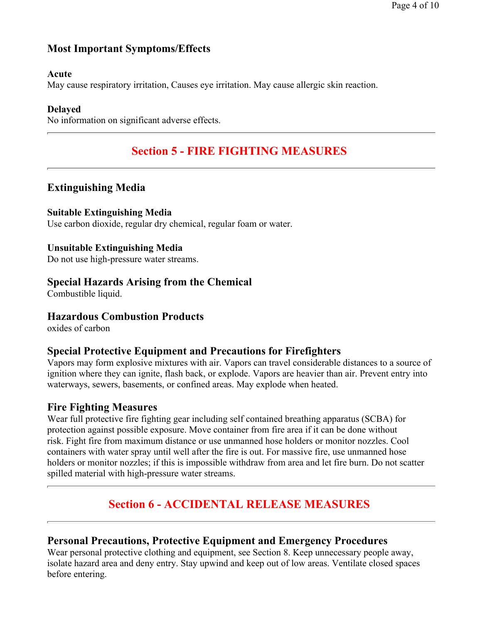# **Most Important Symptoms/Effects**

#### **Acute**

May cause respiratory irritation, Causes eye irritation. May cause allergic skin reaction.

#### **Delayed**

No information on significant adverse effects.

# **Section 5 - FIRE FIGHTING MEASURES**

### **Extinguishing Media**

#### **Suitable Extinguishing Media**

Use carbon dioxide, regular dry chemical, regular foam or water.

#### **Unsuitable Extinguishing Media**

Do not use high-pressure water streams.

#### **Special Hazards Arising from the Chemical**

Combustible liquid.

### **Hazardous Combustion Products**

oxides of carbon

### **Special Protective Equipment and Precautions for Firefighters**

Vapors may form explosive mixtures with air. Vapors can travel considerable distances to a source of ignition where they can ignite, flash back, or explode. Vapors are heavier than air. Prevent entry into waterways, sewers, basements, or confined areas. May explode when heated.

### **Fire Fighting Measures**

Wear full protective fire fighting gear including self contained breathing apparatus (SCBA) for protection against possible exposure. Move container from fire area if it can be done without risk. Fight fire from maximum distance or use unmanned hose holders or monitor nozzles. Cool containers with water spray until well after the fire is out. For massive fire, use unmanned hose holders or monitor nozzles; if this is impossible withdraw from area and let fire burn. Do not scatter spilled material with high-pressure water streams.

# **Section 6 - ACCIDENTAL RELEASE MEASURES**

### **Personal Precautions, Protective Equipment and Emergency Procedures**

Wear personal protective clothing and equipment, see Section 8. Keep unnecessary people away, isolate hazard area and deny entry. Stay upwind and keep out of low areas. Ventilate closed spaces before entering.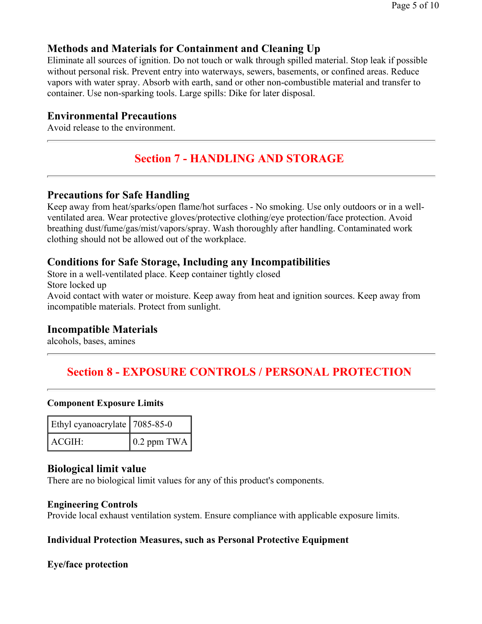### **Methods and Materials for Containment and Cleaning Up**

Eliminate all sources of ignition. Do not touch or walk through spilled material. Stop leak if possible without personal risk. Prevent entry into waterways, sewers, basements, or confined areas. Reduce vapors with water spray. Absorb with earth, sand or other non-combustible material and transfer to container. Use non-sparking tools. Large spills: Dike for later disposal.

### **Environmental Precautions**

Avoid release to the environment.

# **Section 7 - HANDLING AND STORAGE**

#### **Precautions for Safe Handling**

Keep away from heat/sparks/open flame/hot surfaces - No smoking. Use only outdoors or in a wellventilated area. Wear protective gloves/protective clothing/eye protection/face protection. Avoid breathing dust/fume/gas/mist/vapors/spray. Wash thoroughly after handling. Contaminated work clothing should not be allowed out of the workplace.

#### **Conditions for Safe Storage, Including any Incompatibilities**

Store in a well-ventilated place. Keep container tightly closed Store locked up Avoid contact with water or moisture. Keep away from heat and ignition sources. Keep away from incompatible materials. Protect from sunlight.

### **Incompatible Materials**

alcohols, bases, amines

# **Section 8 - EXPOSURE CONTROLS / PERSONAL PROTECTION**

#### **Component Exposure Limits**

| Ethyl cyanoacrylate   7085-85-0 |                     |  |  |  |
|---------------------------------|---------------------|--|--|--|
| ACGIH:                          | $\vert$ 0.2 ppm TWA |  |  |  |

#### **Biological limit value**

There are no biological limit values for any of this product's components.

#### **Engineering Controls**

Provide local exhaust ventilation system. Ensure compliance with applicable exposure limits.

#### **Individual Protection Measures, such as Personal Protective Equipment**

#### **Eye/face protection**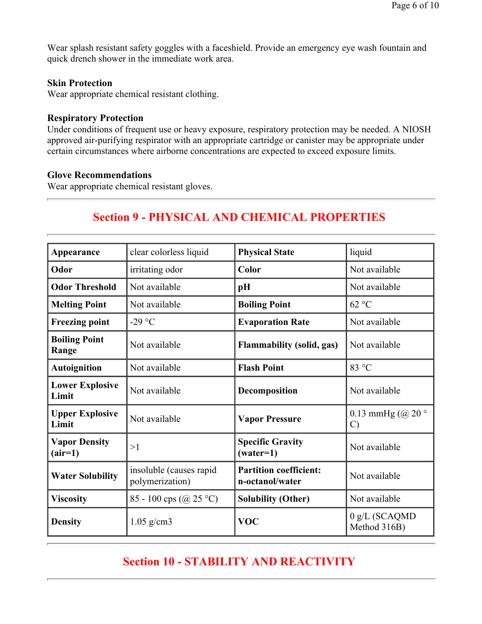Wear splash resistant safety goggles with a faceshield. Provide an emergency eye wash fountain and quick drench shower in the immediate work area.

#### **Skin Protection**

Wear appropriate chemical resistant clothing.

#### **Respiratory Protection**

Under conditions of frequent use or heavy exposure, respiratory protection may be needed. A NIOSH approved air-purifying respirator with an appropriate cartridge or canister may be appropriate under certain circumstances where airborne concentrations are expected to exceed exposure limits.

#### **Glove Recommendations**

Wear appropriate chemical resistant gloves.

# **Section 9 - PHYSICAL AND CHEMICAL PROPERTIES**

| Appearance                        | clear colorless liquid                     | <b>Physical State</b>                            | liquid                             |  |  |
|-----------------------------------|--------------------------------------------|--------------------------------------------------|------------------------------------|--|--|
| Odor                              | irritating odor                            | Color                                            | Not available                      |  |  |
| <b>Odor Threshold</b>             | Not available                              | pH                                               | Not available                      |  |  |
| <b>Melting Point</b>              | Not available                              | <b>Boiling Point</b>                             | 62 °C                              |  |  |
| <b>Freezing point</b>             | -29 $\degree$ C                            | <b>Evaporation Rate</b>                          | Not available                      |  |  |
| <b>Boiling Point</b><br>Range     | Not available                              | <b>Flammability (solid, gas)</b>                 | Not available                      |  |  |
| <b>Autoignition</b>               | Not available                              | <b>Flash Point</b>                               | 83 °C                              |  |  |
| <b>Lower Explosive</b><br>Limit   | Not available                              | Decomposition                                    | Not available                      |  |  |
| <b>Upper Explosive</b><br>Limit   | Not available                              | <b>Vapor Pressure</b>                            | 0.13 mmHg $(Q20°$<br>$\mathcal{C}$ |  |  |
| <b>Vapor Density</b><br>$(air=1)$ | >1                                         | <b>Specific Gravity</b><br>$(water=1)$           | Not available                      |  |  |
| <b>Water Solubility</b>           | insoluble (causes rapid<br>polymerization) | <b>Partition coefficient:</b><br>n-octanol/water | Not available                      |  |  |
| <b>Viscosity</b>                  | 85 - 100 cps (@ 25 °C)                     | <b>Solubility (Other)</b>                        | Not available                      |  |  |
| <b>Density</b>                    | $1.05$ g/cm3                               | <b>VOC</b>                                       | 0 g/L (SCAQMD<br>Method 316B)      |  |  |

# **Section 10 - STABILITY AND REACTIVITY**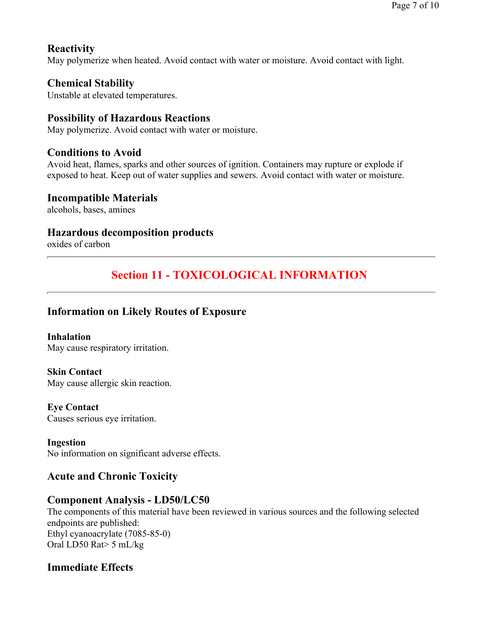### **Reactivity**

May polymerize when heated. Avoid contact with water or moisture. Avoid contact with light.

### **Chemical Stability**

Unstable at elevated temperatures.

### **Possibility of Hazardous Reactions**

May polymerize. Avoid contact with water or moisture.

### **Conditions to Avoid**

Avoid heat, flames, sparks and other sources of ignition. Containers may rupture or explode if exposed to heat. Keep out of water supplies and sewers. Avoid contact with water or moisture.

#### **Incompatible Materials**

alcohols, bases, amines

### **Hazardous decomposition products**

oxides of carbon

# **Section 11 - TOXICOLOGICAL INFORMATION**

### **Information on Likely Routes of Exposure**

**Inhalation**  May cause respiratory irritation.

# **Skin Contact**

May cause allergic skin reaction.

#### **Eye Contact**

Causes serious eye irritation.

#### **Ingestion**

No information on significant adverse effects.

### **Acute and Chronic Toxicity**

### **Component Analysis - LD50/LC50**

The components of this material have been reviewed in various sources and the following selected endpoints are published: Ethyl cyanoacrylate (7085-85-0) Oral LD50 Rat> 5 mL/kg

### **Immediate Effects**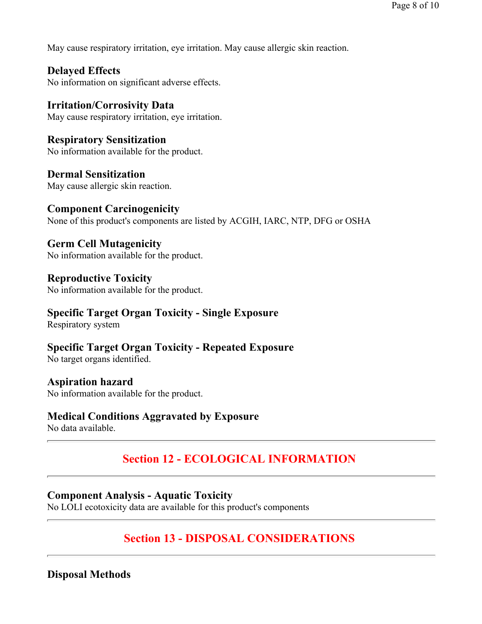May cause respiratory irritation, eye irritation. May cause allergic skin reaction.

**Delayed Effects**  No information on significant adverse effects.

**Irritation/Corrosivity Data**  May cause respiratory irritation, eye irritation.

**Respiratory Sensitization**  No information available for the product.

**Dermal Sensitization**  May cause allergic skin reaction.

**Component Carcinogenicity** None of this product's components are listed by ACGIH, IARC, NTP, DFG or OSHA

**Germ Cell Mutagenicity**  No information available for the product.

**Reproductive Toxicity**  No information available for the product.

# **Specific Target Organ Toxicity - Single Exposure**

Respiratory system

**Specific Target Organ Toxicity - Repeated Exposure**  No target organs identified.

**Aspiration hazard**  No information available for the product.

### **Medical Conditions Aggravated by Exposure**

No data available.

# **Section 12 - ECOLOGICAL INFORMATION**

### **Component Analysis - Aquatic Toxicity**

No LOLI ecotoxicity data are available for this product's components

# **Section 13 - DISPOSAL CONSIDERATIONS**

**Disposal Methods**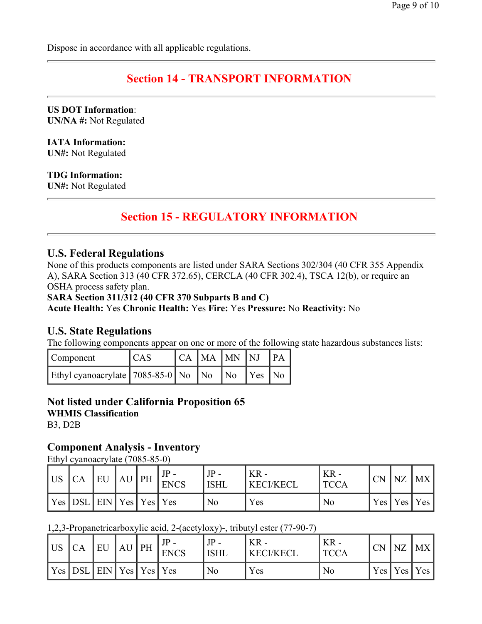Dispose in accordance with all applicable regulations.

# **Section 14 - TRANSPORT INFORMATION**

**US DOT Information**: **UN/NA #:** Not Regulated

**IATA Information: UN#:** Not Regulated

**TDG Information:**

**UN#:** Not Regulated

# **Section 15 - REGULATORY INFORMATION**

### **U.S. Federal Regulations**

None of this products components are listed under SARA Sections 302/304 (40 CFR 355 Appendix A), SARA Section 313 (40 CFR 372.65), CERCLA (40 CFR 302.4), TSCA 12(b), or require an OSHA process safety plan.

**SARA Section 311/312 (40 CFR 370 Subparts B and C)**

**Acute Health:** Yes **Chronic Health:** Yes **Fire:** Yes **Pressure:** No **Reactivity:** No

#### **U.S. State Regulations**

The following components appear on one or more of the following state hazardous substances lists:

| Component                                      | <sub>CAS</sub> | CA MA MN NJ PA |        |  |
|------------------------------------------------|----------------|----------------|--------|--|
| Ethyl cyanoacrylate   7085-85-0   No   No   No |                |                | Yes No |  |

#### **Not listed under California Proposition 65**

**WHMIS Classification**

B3, D2B

#### **Component Analysis - Inventory**

Ethyl cyanoacrylate (7085-85-0)

| US | СA        | EU                            | $AU$ PH | JP<br><b>ENCS</b> | <b>ISHL</b> | $KR -$<br><b>KECI/KECI</b> | $KR -$<br><b>TCCA</b> | <b>CN</b> | NZ        | <b>MX</b> |
|----|-----------|-------------------------------|---------|-------------------|-------------|----------------------------|-----------------------|-----------|-----------|-----------|
|    | $Yes$ DSL | $\vert$ EIN   Yes   Yes   Yes |         |                   | No          | Yes                        | No                    |           | Yes   Yes | $'$ Yes   |

1,2,3-Propanetricarboxylic acid, 2-(acetyloxy)-, tributyl ester (77-90-7)

| US  | СA         | EU                                              | AU. | PH | T <sub>D</sub><br><b>ENCS</b> | IP<br><b>ISHL</b> | $KR -$<br>KECI/KECL | $KR -$<br><b>TCCA</b> | <b>CN</b> | NZ  | MX  |
|-----|------------|-------------------------------------------------|-----|----|-------------------------------|-------------------|---------------------|-----------------------|-----------|-----|-----|
| Yes | <b>DSL</b> | $\vert$ EIN $\vert$ Yes $\vert$ Yes $\vert$ Yes |     |    |                               | N <sub>0</sub>    | Yes                 | N <sub>0</sub>        | Yes       | Yes | Yes |